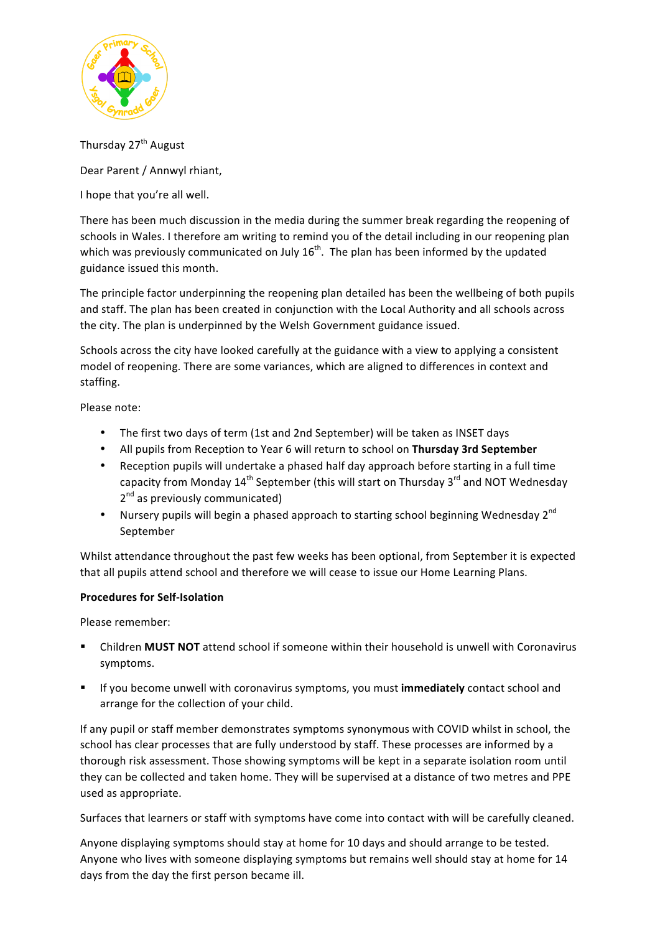

Thursday 27<sup>th</sup> August

Dear Parent / Annwyl rhiant,

I hope that you're all well.

There has been much discussion in the media during the summer break regarding the reopening of schools in Wales. I therefore am writing to remind you of the detail including in our reopening plan which was previously communicated on July  $16^{th}$ . The plan has been informed by the updated guidance issued this month.

The principle factor underpinning the reopening plan detailed has been the wellbeing of both pupils and staff. The plan has been created in conjunction with the Local Authority and all schools across the city. The plan is underpinned by the Welsh Government guidance issued.

Schools across the city have looked carefully at the guidance with a view to applying a consistent model of reopening. There are some variances, which are aligned to differences in context and staffing. 

Please note:

- The first two days of term (1st and 2nd September) will be taken as INSET days
- All pupils from Reception to Year 6 will return to school on Thursday 3rd September
- Reception pupils will undertake a phased half day approach before starting in a full time capacity from Monday  $14<sup>th</sup>$  September (this will start on Thursday  $3<sup>rd</sup>$  and NOT Wednesday  $2<sup>nd</sup>$  as previously communicated)
- Nursery pupils will begin a phased approach to starting school beginning Wednesday  $2^{nd}$ September

Whilst attendance throughout the past few weeks has been optional, from September it is expected that all pupils attend school and therefore we will cease to issue our Home Learning Plans.

### **Procedures for Self-Isolation**

Please remember:

- Children **MUST NOT** attend school if someone within their household is unwell with Coronavirus symptoms.
- **EXECOM** If you become unwell with coronavirus symptoms, you must **immediately** contact school and arrange for the collection of your child.

If any pupil or staff member demonstrates symptoms synonymous with COVID whilst in school, the school has clear processes that are fully understood by staff. These processes are informed by a thorough risk assessment. Those showing symptoms will be kept in a separate isolation room until they can be collected and taken home. They will be supervised at a distance of two metres and PPE used as appropriate.

Surfaces that learners or staff with symptoms have come into contact with will be carefully cleaned.

Anyone displaying symptoms should stay at home for 10 days and should arrange to be tested. Anyone who lives with someone displaying symptoms but remains well should stay at home for 14 days from the day the first person became ill.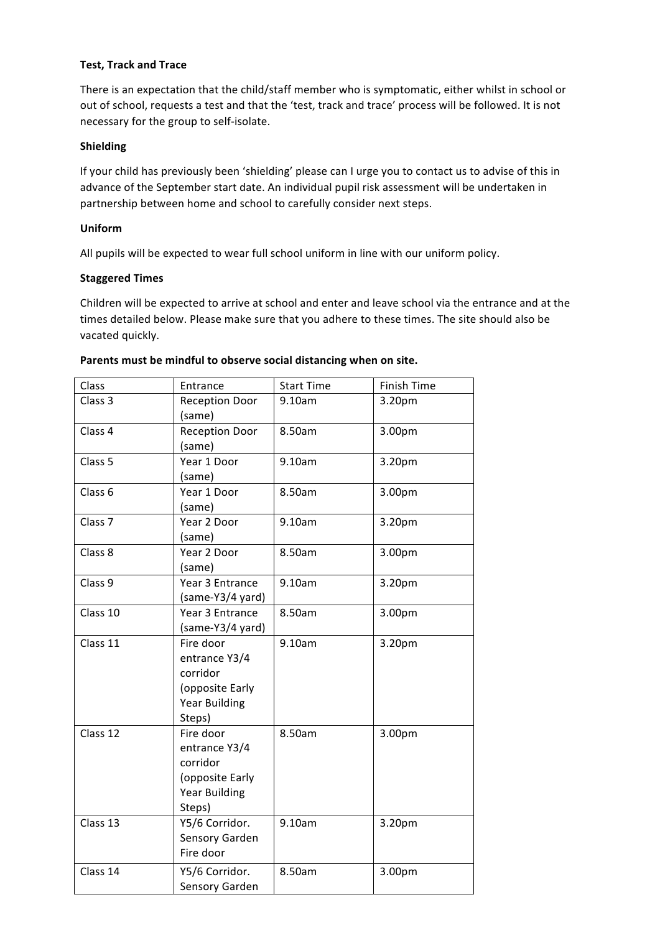### **Test, Track and Trace**

There is an expectation that the child/staff member who is symptomatic, either whilst in school or out of school, requests a test and that the 'test, track and trace' process will be followed. It is not necessary for the group to self-isolate.

#### **Shielding**

If your child has previously been 'shielding' please can I urge you to contact us to advise of this in advance of the September start date. An individual pupil risk assessment will be undertaken in partnership between home and school to carefully consider next steps.

#### **Uniform**

All pupils will be expected to wear full school uniform in line with our uniform policy.

#### **Staggered Times**

Children will be expected to arrive at school and enter and leave school via the entrance and at the times detailed below. Please make sure that you adhere to these times. The site should also be vacated quickly.

| Class              | Entrance                                                                                    | <b>Start Time</b> | Finish Time |
|--------------------|---------------------------------------------------------------------------------------------|-------------------|-------------|
| Class 3            | <b>Reception Door</b><br>(same)                                                             | 9.10am            | 3.20pm      |
| Class 4            | <b>Reception Door</b><br>(same)                                                             | 8.50am            | 3.00pm      |
| Class 5            | Year 1 Door<br>(same)                                                                       | 9.10am            | 3.20pm      |
| Class 6            | Year 1 Door<br>(same)                                                                       | 8.50am            | 3.00pm      |
| Class <sub>7</sub> | Year 2 Door<br>(same)                                                                       | 9.10am            | 3.20pm      |
| Class 8            | Year 2 Door<br>(same)                                                                       | 8.50am            | 3.00pm      |
| Class 9            | Year 3 Entrance<br>(same-Y3/4 yard)                                                         | 9.10am            | 3.20pm      |
| Class 10           | Year 3 Entrance<br>(same-Y3/4 yard)                                                         | 8.50am            | 3.00pm      |
| Class 11           | Fire door<br>entrance Y3/4<br>corridor<br>(opposite Early<br><b>Year Building</b><br>Steps) | 9.10am            | 3.20pm      |
| Class 12           | Fire door<br>entrance Y3/4<br>corridor<br>(opposite Early<br><b>Year Building</b><br>Steps) | 8.50am            | 3.00pm      |
| Class 13           | Y5/6 Corridor.<br>Sensory Garden<br>Fire door                                               | 9.10am            | 3.20pm      |
| Class 14           | Y5/6 Corridor.<br>Sensory Garden                                                            | 8.50am            | 3.00pm      |

#### Parents must be mindful to observe social distancing when on site.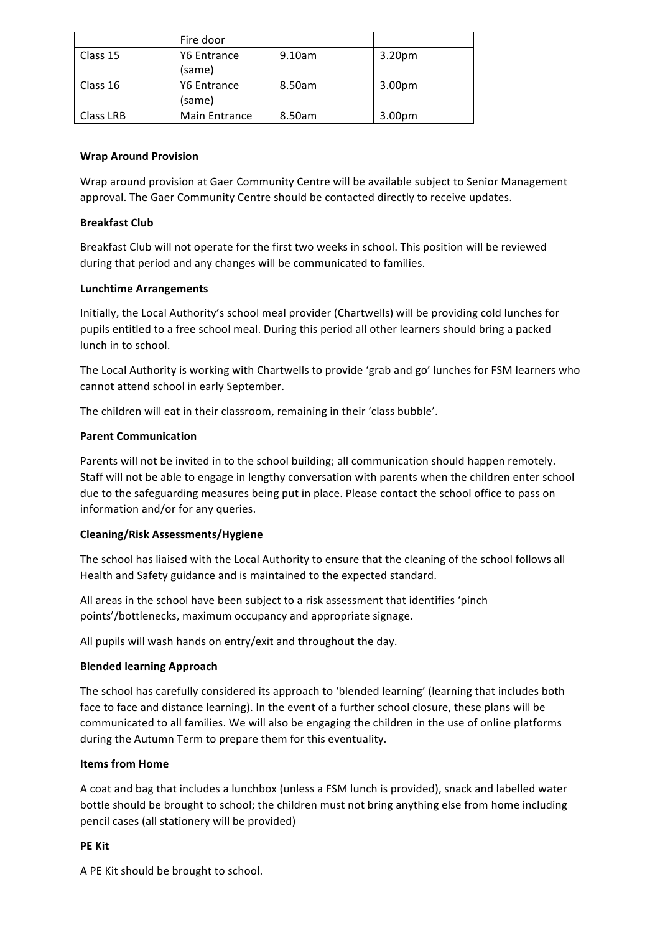|           | Fire door          |        |                    |
|-----------|--------------------|--------|--------------------|
| Class 15  | <b>Y6 Entrance</b> | 9.10am | 3.20 <sub>pm</sub> |
|           | (same)             |        |                    |
| Class 16  | Y6 Entrance        | 8.50am | 3.00 <sub>pm</sub> |
|           | (same)             |        |                    |
| Class LRB | Main Entrance      | 8.50am | 3.00 <sub>pm</sub> |

### **Wrap Around Provision**

Wrap around provision at Gaer Community Centre will be available subject to Senior Management approval. The Gaer Community Centre should be contacted directly to receive updates.

#### **Breakfast Club**

Breakfast Club will not operate for the first two weeks in school. This position will be reviewed during that period and any changes will be communicated to families.

#### **Lunchtime Arrangements**

Initially, the Local Authority's school meal provider (Chartwells) will be providing cold lunches for pupils entitled to a free school meal. During this period all other learners should bring a packed lunch in to school.

The Local Authority is working with Chartwells to provide 'grab and go' lunches for FSM learners who cannot attend school in early September.

The children will eat in their classroom, remaining in their 'class bubble'.

#### **Parent Communication**

Parents will not be invited in to the school building; all communication should happen remotely. Staff will not be able to engage in lengthy conversation with parents when the children enter school due to the safeguarding measures being put in place. Please contact the school office to pass on information and/or for any queries.

### **Cleaning/Risk Assessments/Hygiene**

The school has liaised with the Local Authority to ensure that the cleaning of the school follows all Health and Safety guidance and is maintained to the expected standard.

All areas in the school have been subject to a risk assessment that identifies 'pinch points'/bottlenecks, maximum occupancy and appropriate signage.

All pupils will wash hands on entry/exit and throughout the day.

#### **Blended learning Approach**

The school has carefully considered its approach to 'blended learning' (learning that includes both face to face and distance learning). In the event of a further school closure, these plans will be communicated to all families. We will also be engaging the children in the use of online platforms during the Autumn Term to prepare them for this eventuality.

#### **Items from Home**

A coat and bag that includes a lunchbox (unless a FSM lunch is provided), snack and labelled water bottle should be brought to school; the children must not bring anything else from home including pencil cases (all stationery will be provided)

#### **PE** Kit

A PE Kit should be brought to school.